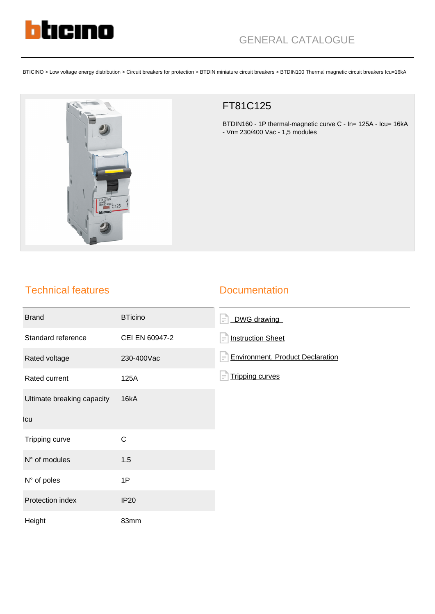

BTICINO > Low voltage energy distribution > Circuit breakers for protection > BTDIN miniature circuit breakers > BTDIN100 Thermal magnetic circuit breakers Icu=16kA



## FT81C125

BTDIN160 - 1P thermal-magnetic curve C - In= 125A - Icu= 16kA - Vn= 230/400 Vac - 1,5 modules

## Technical features

## **Documentation**

| <b>Brand</b>               | <b>BTicino</b> | DWG drawing<br>$\equiv$                      |
|----------------------------|----------------|----------------------------------------------|
| Standard reference         | CEI EN 60947-2 | <b>Instruction Sheet</b><br>$\equiv$         |
| Rated voltage              | 230-400Vac     | <b>Environment. Product Declaration</b><br>F |
| Rated current              | 125A           | <b>Tripping curves</b><br>$\equiv$           |
| Ultimate breaking capacity | 16kA           |                                              |
| Icu                        |                |                                              |
| Tripping curve             | $\mathsf{C}$   |                                              |
| N° of modules              | 1.5            |                                              |
| N° of poles                | 1P             |                                              |
| Protection index           | <b>IP20</b>    |                                              |
| Height                     | 83mm           |                                              |